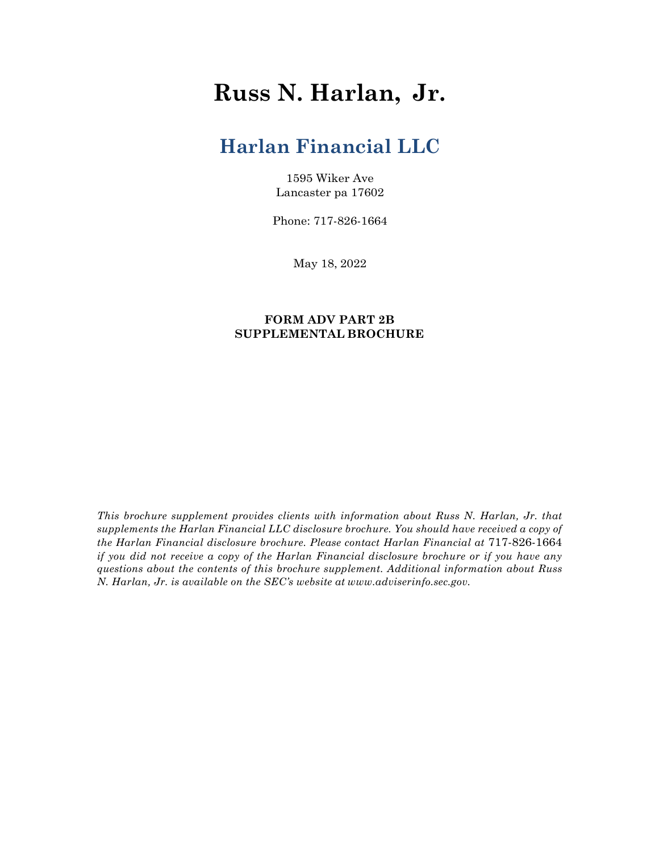# **Russ N. Harlan, Jr.**

## **Harlan Financial LLC**

1595 Wiker Ave Lancaster pa 17602

Phone: 717-826-1664

May 18, 2022

### **FORM ADV PART 2B SUPPLEMENTAL BROCHURE**

*This brochure supplement provides clients with information about Russ N. Harlan, Jr. that supplements the Harlan Financial LLC disclosure brochure. You should have received a copy of the Harlan Financial disclosure brochure. Please contact Harlan Financial at* 717-826-1664 *if you did not receive a copy of the Harlan Financial disclosure brochure or if you have any questions about the contents of this brochure supplement. Additional information about Russ N. Harlan, Jr. is available on the SEC's website at www.adviserinfo.sec.gov.*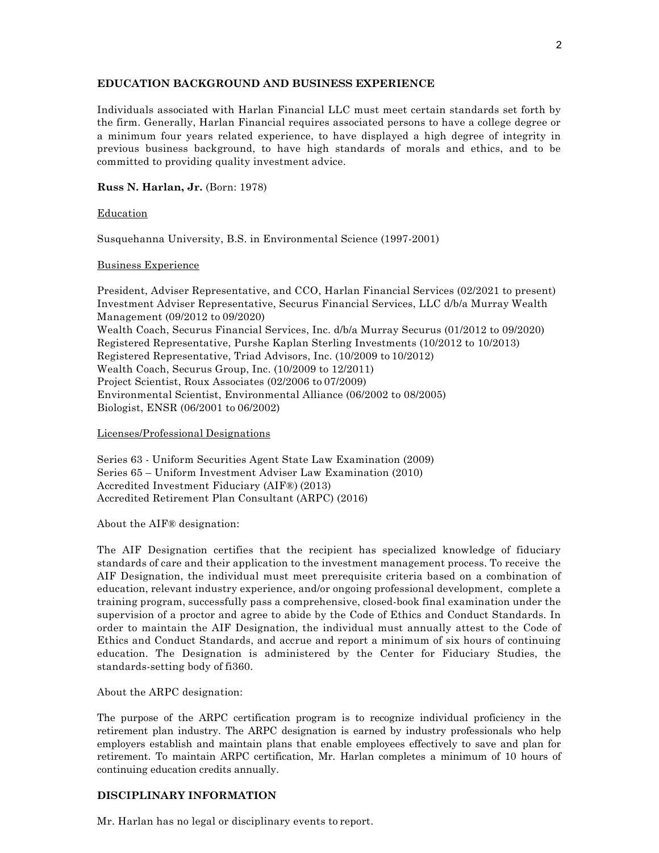#### **EDUCATION BACKGROUND AND BUSINESS EXPERIENCE**

Individuals associated with Harlan Financial LLC must meet certain standards set forth by the firm. Generally, Harlan Financial requires associated persons to have a college degree or a minimum four years related experience, to have displayed a high degree of integrity in previous business background, to have high standards of morals and ethics, and to be committed to providing quality investment advice.

#### **Russ N. Harlan, Jr.** (Born: 1978)

#### Education

Susquehanna University, B.S. in Environmental Science (1997-2001)

#### Business Experience

President, Adviser Representative, and CCO, Harlan Financial Services (02/2021 to present) Investment Adviser Representative, Securus Financial Services, LLC d/b/a Murray Wealth Management (09/2012 to 09/2020) Wealth Coach, Securus Financial Services, Inc. d/b/a Murray Securus (01/2012 to 09/2020) Registered Representative, Purshe Kaplan Sterling Investments (10/2012 to 10/2013) Registered Representative, Triad Advisors, Inc. (10/2009 to 10/2012) Wealth Coach, Securus Group, Inc. (10/2009 to 12/2011) Project Scientist, Roux Associates (02/2006 to 07/2009) Environmental Scientist, Environmental Alliance (06/2002 to 08/2005) Biologist, ENSR (06/2001 to 06/2002)

#### Licenses/Professional Designations

Series 63 - Uniform Securities Agent State Law Examination (2009) Series 65 – Uniform Investment Adviser Law Examination (2010) Accredited Investment Fiduciary (AIF®) (2013) Accredited Retirement Plan Consultant (ARPC) (2016)

About the AIF® designation:

The AIF Designation certifies that the recipient has specialized knowledge of fiduciary standards of care and their application to the investment management process. To receive the AIF Designation, the individual must meet prerequisite criteria based on a combination of education, relevant industry experience, and/or ongoing professional development, complete a training program, successfully pass a comprehensive, closed-book final examination under the supervision of a proctor and agree to abide by the Code of Ethics and Conduct Standards. In order to maintain the AIF Designation, the individual must annually attest to the Code of Ethics and Conduct Standards, and accrue and report a minimum of six hours of continuing education. The Designation is administered by the Center for Fiduciary Studies, the standards-setting body of fi360.

#### About the ARPC designation:

The purpose of the ARPC certification program is to recognize individual proficiency in the retirement plan industry. The ARPC designation is earned by industry professionals who help employers establish and maintain plans that enable employees effectively to save and plan for retirement. To maintain ARPC certification, Mr. Harlan completes a minimum of 10 hours of continuing education credits annually.

#### **DISCIPLINARY INFORMATION**

Mr. Harlan has no legal or disciplinary events to report.